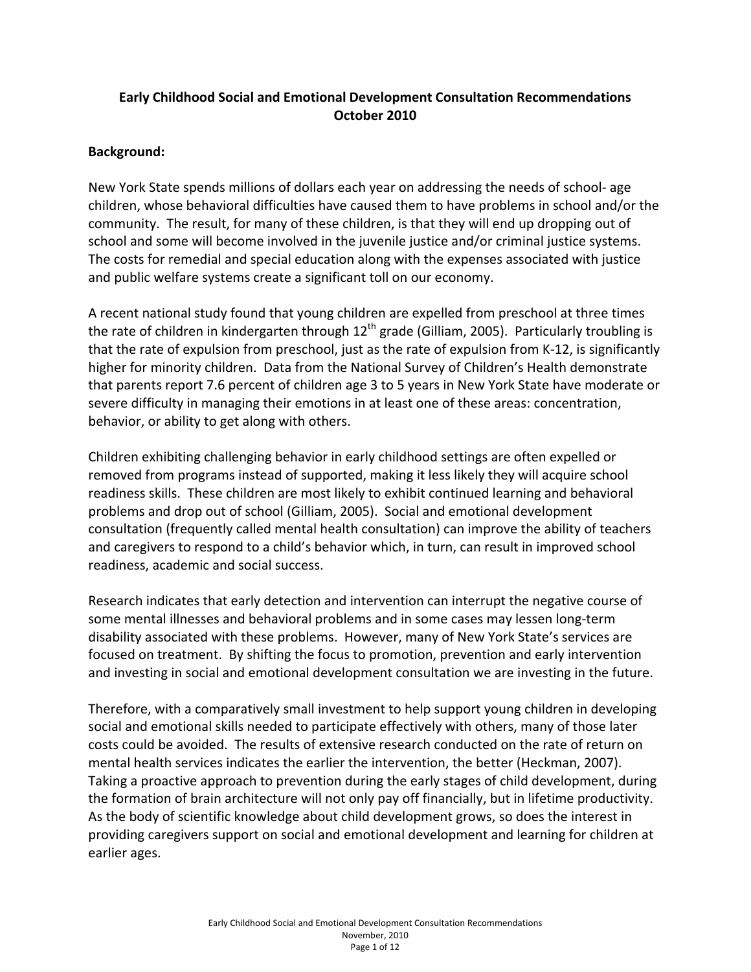# **Early Childhood Social and Emotional Development Consultation Recommendations October 2010**

### **Background:**

New York State spends millions of dollars each year on addressing the needs of school‐ age children, whose behavioral difficulties have caused them to have problems in school and/or the community. The result, for many of these children, is that they will end up dropping out of school and some will become involved in the juvenile justice and/or criminal justice systems. The costs for remedial and special education along with the expenses associated with justice and public welfare systems create a significant toll on our economy.

A recent national study found that young children are expelled from preschool at three times the rate of children in kindergarten through  $12<sup>th</sup>$  grade (Gilliam, 2005). Particularly troubling is that the rate of expulsion from preschool, just as the rate of expulsion from K‐12, is significantly higher for minority children. Data from the National Survey of Children's Health demonstrate that parents report 7.6 percent of children age 3 to 5 years in New York State have moderate or severe difficulty in managing their emotions in at least one of these areas: concentration, behavior, or ability to get along with others.

Children exhibiting challenging behavior in early childhood settings are often expelled or removed from programs instead of supported, making it less likely they will acquire school readiness skills. These children are most likely to exhibit continued learning and behavioral problems and drop out of school (Gilliam, 2005). Social and emotional development consultation (frequently called mental health consultation) can improve the ability of teachers and caregivers to respond to a child's behavior which, in turn, can result in improved school readiness, academic and social success.

Research indicates that early detection and intervention can interrupt the negative course of some mental illnesses and behavioral problems and in some cases may lessen long-term disability associated with these problems. However, many of New York State's services are focused on treatment. By shifting the focus to promotion, prevention and early intervention and investing in social and emotional development consultation we are investing in the future.

Therefore, with a comparatively small investment to help support young children in developing social and emotional skills needed to participate effectively with others, many of those later costs could be avoided. The results of extensive research conducted on the rate of return on mental health services indicates the earlier the intervention, the better (Heckman, 2007). Taking a proactive approach to prevention during the early stages of child development, during the formation of brain architecture will not only pay off financially, but in lifetime productivity. As the body of scientific knowledge about child development grows, so does the interest in providing caregivers support on social and emotional development and learning for children at earlier ages.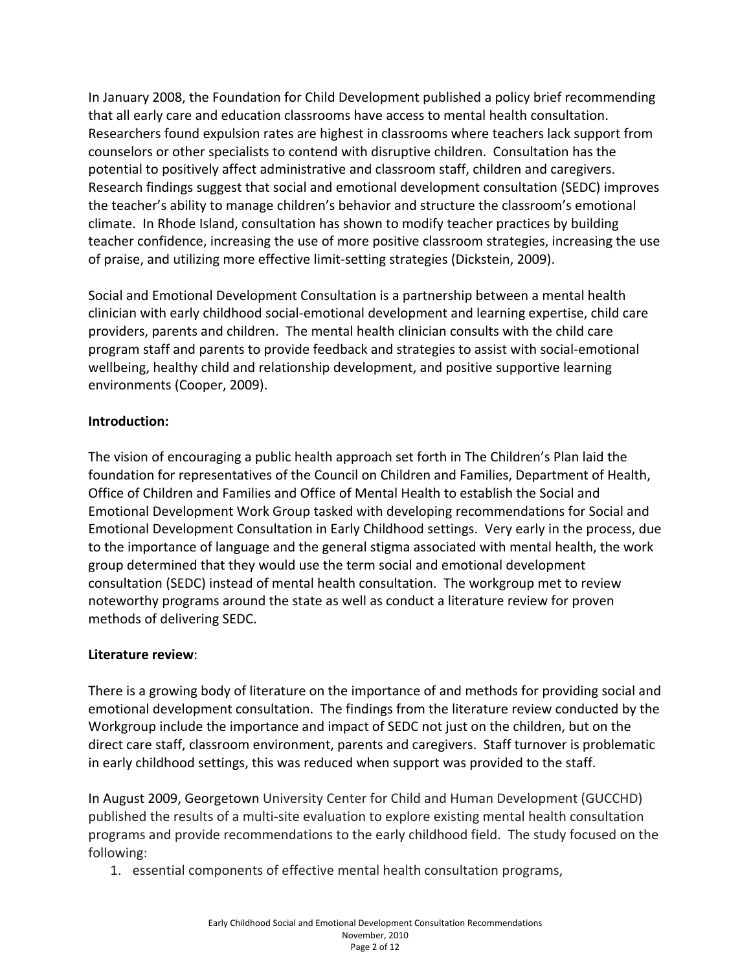In January 2008, the Foundation for Child Development published a policy brief recommending that all early care and education classrooms have access to mental health consultation. Researchers found expulsion rates are highest in classrooms where teachers lack support from counselors or other specialists to contend with disruptive children. Consultation has the potential to positively affect administrative and classroom staff, children and caregivers. Research findings suggest that social and emotional development consultation (SEDC) improves the teacher's ability to manage children's behavior and structure the classroom's emotional climate. In Rhode Island, consultation has shown to modify teacher practices by building teacher confidence, increasing the use of more positive classroom strategies, increasing the use of praise, and utilizing more effective limit‐setting strategies (Dickstein, 2009).

Social and Emotional Development Consultation is a partnership between a mental health clinician with early childhood social‐emotional development and learning expertise, child care providers, parents and children. The mental health clinician consults with the child care program staff and parents to provide feedback and strategies to assist with social‐emotional wellbeing, healthy child and relationship development, and positive supportive learning environments (Cooper, 2009).

## **Introduction:**

The vision of encouraging a public health approach set forth in The Children's Plan laid the foundation for representatives of the Council on Children and Families, Department of Health, Office of Children and Families and Office of Mental Health to establish the Social and Emotional Development Work Group tasked with developing recommendations for Social and Emotional Development Consultation in Early Childhood settings. Very early in the process, due to the importance of language and the general stigma associated with mental health, the work group determined that they would use the term social and emotional development consultation (SEDC) instead of mental health consultation. The workgroup met to review noteworthy programs around the state as well as conduct a literature review for proven methods of delivering SEDC.

## **Literature review**:

There is a growing body of literature on the importance of and methods for providing social and emotional development consultation. The findings from the literature review conducted by the Workgroup include the importance and impact of SEDC not just on the children, but on the direct care staff, classroom environment, parents and caregivers. Staff turnover is problematic in early childhood settings, this was reduced when support was provided to the staff.

In August 2009, Georgetown University Center for Child and Human Development (GUCCHD) published the results of a multi‐site evaluation to explore existing mental health consultation programs and provide recommendations to the early childhood field. The study focused on the following:

1. essential components of effective mental health consultation programs,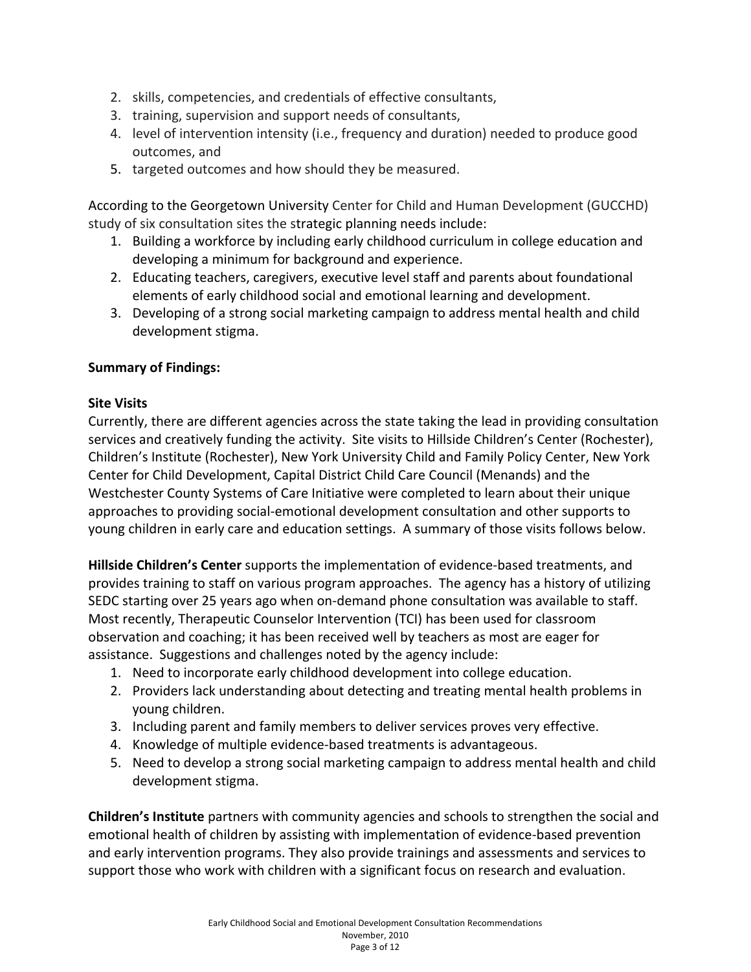- 2. skills, competencies, and credentials of effective consultants,
- 3. training, supervision and support needs of consultants,
- 4. level of intervention intensity (i.e., frequency and duration) needed to produce good outcomes, and
- 5. targeted outcomes and how should they be measured.

According to the Georgetown University Center for Child and Human Development (GUCCHD) study of six consultation sites the strategic planning needs include:

- 1. Building a workforce by including early childhood curriculum in college education and developing a minimum for background and experience.
- 2. Educating teachers, caregivers, executive level staff and parents about foundational elements of early childhood social and emotional learning and development.
- 3. Developing of a strong social marketing campaign to address mental health and child development stigma.

#### **Summary of Findings:**

### **Site Visits**

Currently, there are different agencies across the state taking the lead in providing consultation services and creatively funding the activity. Site visits to Hillside Children's Center (Rochester), Children's Institute (Rochester), New York University Child and Family Policy Center, New York Center for Child Development, Capital District Child Care Council (Menands) and the Westchester County Systems of Care Initiative were completed to learn about their unique approaches to providing social‐emotional development consultation and other supports to young children in early care and education settings. A summary of those visits follows below.

**Hillside Children's Center** supports the implementation of evidence‐based treatments, and provides training to staff on various program approaches. The agency has a history of utilizing SEDC starting over 25 years ago when on-demand phone consultation was available to staff. Most recently, Therapeutic Counselor Intervention (TCI) has been used for classroom observation and coaching; it has been received well by teachers as most are eager for assistance. Suggestions and challenges noted by the agency include:

- 1. Need to incorporate early childhood development into college education.
- 2. Providers lack understanding about detecting and treating mental health problems in young children.
- 3. Including parent and family members to deliver services proves very effective.
- 4. Knowledge of multiple evidence‐based treatments is advantageous.
- 5. Need to develop a strong social marketing campaign to address mental health and child development stigma.

**Children's Institute** partners with community agencies and schools to strengthen the social and emotional health of children by assisting with implementation of evidence‐based prevention and early intervention programs. They also provide trainings and assessments and services to support those who work with children with a significant focus on research and evaluation.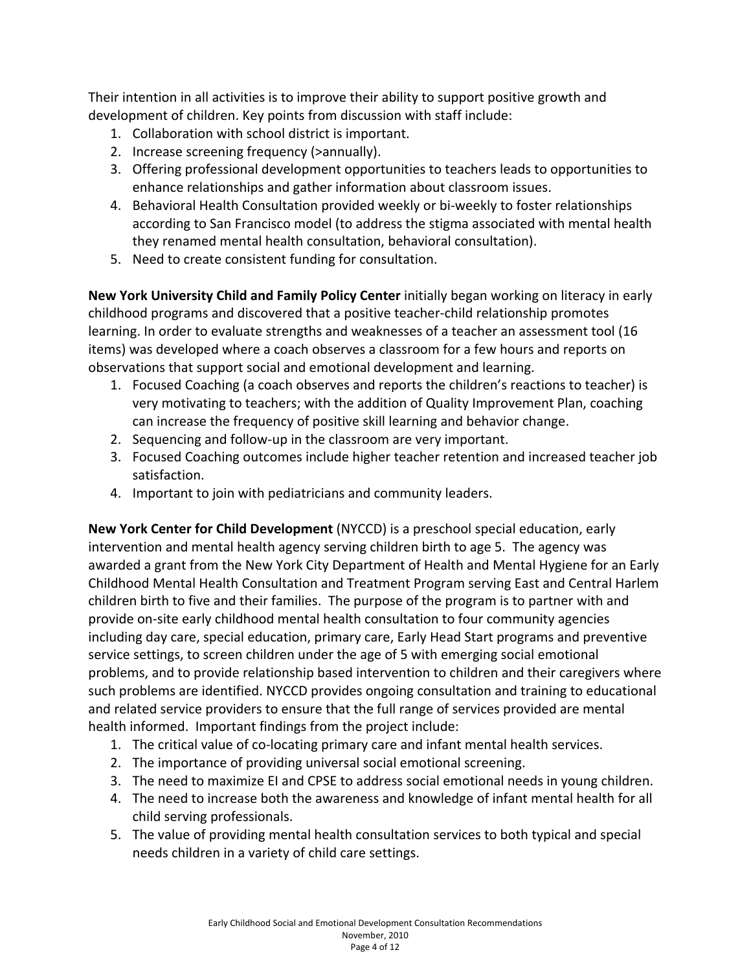Their intention in all activities is to improve their ability to support positive growth and development of children. Key points from discussion with staff include:

- 1. Collaboration with school district is important.
- 2. Increase screening frequency (>annually).
- 3. Offering professional development opportunities to teachers leads to opportunities to enhance relationships and gather information about classroom issues.
- 4. Behavioral Health Consultation provided weekly or bi-weekly to foster relationships according to San Francisco model (to address the stigma associated with mental health they renamed mental health consultation, behavioral consultation).
- 5. Need to create consistent funding for consultation.

**New York University Child and Family Policy Center** initially began working on literacy in early childhood programs and discovered that a positive teacher‐child relationship promotes learning. In order to evaluate strengths and weaknesses of a teacher an assessment tool (16 items) was developed where a coach observes a classroom for a few hours and reports on observations that support social and emotional development and learning.

- 1. Focused Coaching (a coach observes and reports the children's reactions to teacher) is very motivating to teachers; with the addition of Quality Improvement Plan, coaching can increase the frequency of positive skill learning and behavior change.
- 2. Sequencing and follow-up in the classroom are very important.
- 3. Focused Coaching outcomes include higher teacher retention and increased teacher job satisfaction.
- 4. Important to join with pediatricians and community leaders.

**New York Center for Child Development** (NYCCD) is a preschool special education, early intervention and mental health agency serving children birth to age 5. The agency was awarded a grant from the New York City Department of Health and Mental Hygiene for an Early Childhood Mental Health Consultation and Treatment Program serving East and Central Harlem children birth to five and their families. The purpose of the program is to partner with and provide on‐site early childhood mental health consultation to four community agencies including day care, special education, primary care, Early Head Start programs and preventive service settings, to screen children under the age of 5 with emerging social emotional problems, and to provide relationship based intervention to children and their caregivers where such problems are identified. NYCCD provides ongoing consultation and training to educational and related service providers to ensure that the full range of services provided are mental health informed. Important findings from the project include:

- 1. The critical value of co‐locating primary care and infant mental health services.
- 2. The importance of providing universal social emotional screening.
- 3. The need to maximize EI and CPSE to address social emotional needs in young children.
- 4. The need to increase both the awareness and knowledge of infant mental health for all child serving professionals.
- 5. The value of providing mental health consultation services to both typical and special needs children in a variety of child care settings.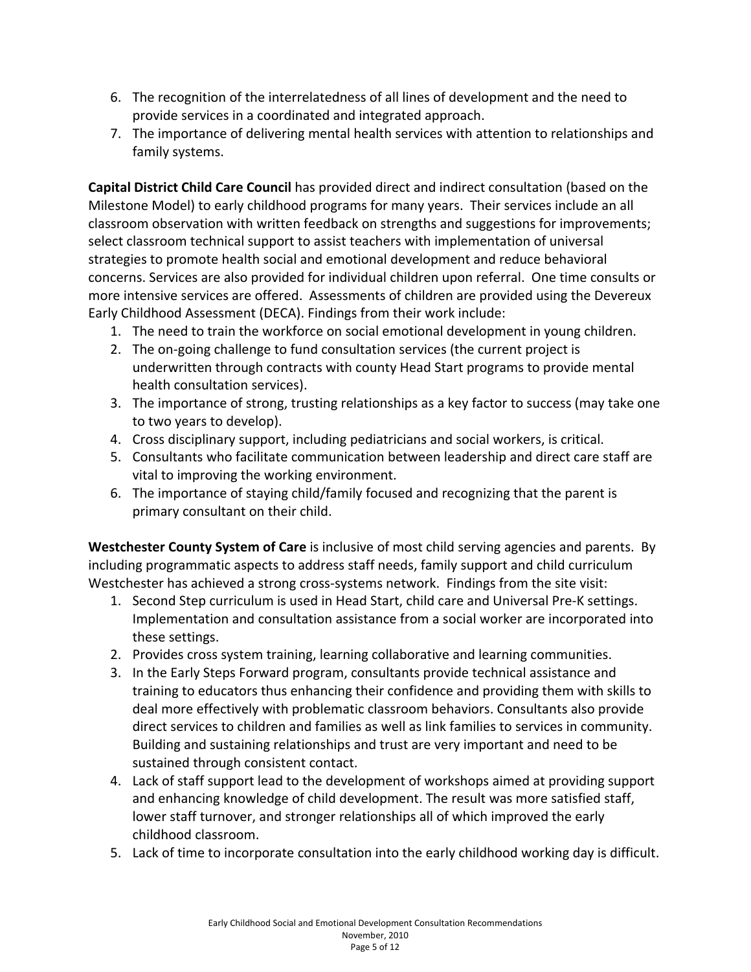- 6. The recognition of the interrelatedness of all lines of development and the need to provide services in a coordinated and integrated approach.
- 7. The importance of delivering mental health services with attention to relationships and family systems.

**Capital District Child Care Council** has provided direct and indirect consultation (based on the Milestone Model) to early childhood programs for many years. Their services include an all classroom observation with written feedback on strengths and suggestions for improvements; select classroom technical support to assist teachers with implementation of universal strategies to promote health social and emotional development and reduce behavioral concerns. Services are also provided for individual children upon referral. One time consults or more intensive services are offered. Assessments of children are provided using the Devereux Early Childhood Assessment (DECA). Findings from their work include:

- 1. The need to train the workforce on social emotional development in young children.
- 2. The on-going challenge to fund consultation services (the current project is underwritten through contracts with county Head Start programs to provide mental health consultation services).
- 3. The importance of strong, trusting relationships as a key factor to success (may take one to two years to develop).
- 4. Cross disciplinary support, including pediatricians and social workers, is critical.
- 5. Consultants who facilitate communication between leadership and direct care staff are vital to improving the working environment.
- 6. The importance of staying child/family focused and recognizing that the parent is primary consultant on their child.

**Westchester County System of Care** is inclusive of most child serving agencies and parents. By including programmatic aspects to address staff needs, family support and child curriculum Westchester has achieved a strong cross-systems network. Findings from the site visit:

- 1. Second Step curriculum is used in Head Start, child care and Universal Pre‐K settings. Implementation and consultation assistance from a social worker are incorporated into these settings.
- 2. Provides cross system training, learning collaborative and learning communities.
- 3. In the Early Steps Forward program, consultants provide technical assistance and training to educators thus enhancing their confidence and providing them with skills to deal more effectively with problematic classroom behaviors. Consultants also provide direct services to children and families as well as link families to services in community. Building and sustaining relationships and trust are very important and need to be sustained through consistent contact.
- 4. Lack of staff support lead to the development of workshops aimed at providing support and enhancing knowledge of child development. The result was more satisfied staff, lower staff turnover, and stronger relationships all of which improved the early childhood classroom.
- 5. Lack of time to incorporate consultation into the early childhood working day is difficult.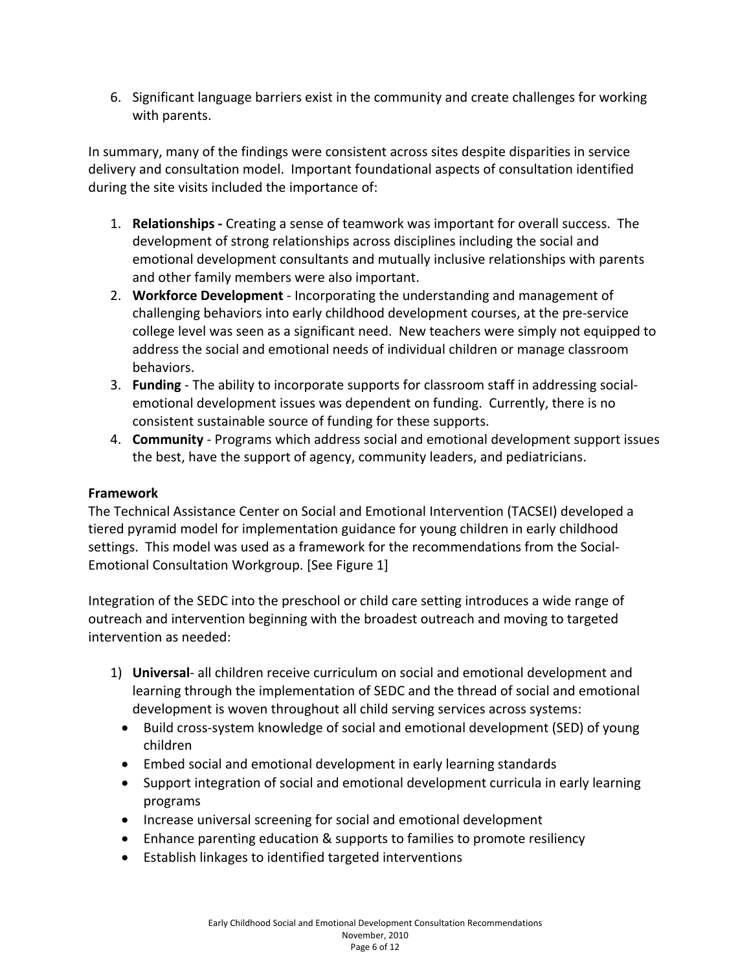6. Significant language barriers exist in the community and create challenges for working with parents.

In summary, many of the findings were consistent across sites despite disparities in service delivery and consultation model. Important foundational aspects of consultation identified during the site visits included the importance of:

- 1. **Relationships ‐** Creating a sense of teamwork was important for overall success. The development of strong relationships across disciplines including the social and emotional development consultants and mutually inclusive relationships with parents and other family members were also important.
- 2. **Workforce Development** ‐ Incorporating the understanding and management of challenging behaviors into early childhood development courses, at the pre‐service college level was seen as a significant need. New teachers were simply not equipped to address the social and emotional needs of individual children or manage classroom behaviors.
- 3. **Funding** ‐ The ability to incorporate supports for classroom staff in addressing social‐ emotional development issues was dependent on funding. Currently, there is no consistent sustainable source of funding for these supports.
- 4. **Community** ‐ Programs which address social and emotional development support issues the best, have the support of agency, community leaders, and pediatricians.

# **Framework**

The Technical Assistance Center on Social and Emotional Intervention (TACSEI) developed a tiered pyramid model for implementation guidance for young children in early childhood settings. This model was used as a framework for the recommendations from the Social‐ Emotional Consultation Workgroup. [See Figure 1]

Integration of the SEDC into the preschool or child care setting introduces a wide range of outreach and intervention beginning with the broadest outreach and moving to targeted intervention as needed:

- 1) **Universal**‐ all children receive curriculum on social and emotional development and learning through the implementation of SEDC and the thread of social and emotional development is woven throughout all child serving services across systems:
	- Build cross-system knowledge of social and emotional development (SED) of young children
	- Embed social and emotional development in early learning standards
	- Support integration of social and emotional development curricula in early learning programs
	- Increase universal screening for social and emotional development
	- Enhance parenting education & supports to families to promote resiliency
	- Establish linkages to identified targeted interventions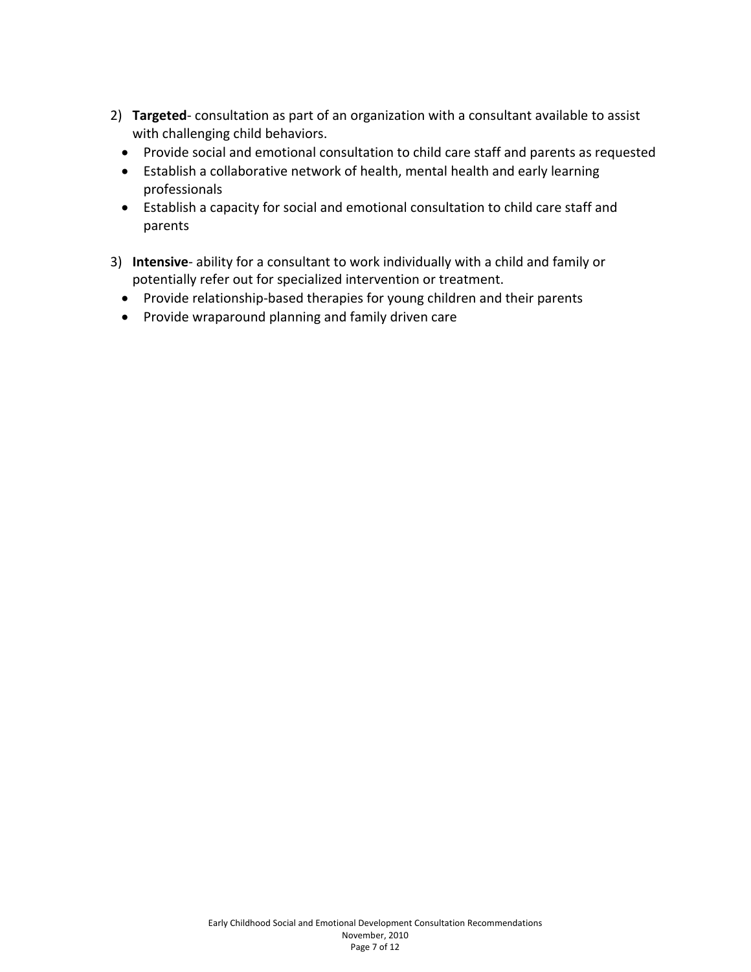- 2) **Targeted**‐ consultation as part of an organization with a consultant available to assist with challenging child behaviors.
	- Provide social and emotional consultation to child care staff and parents as requested
	- Establish a collaborative network of health, mental health and early learning professionals
	- Establish a capacity for social and emotional consultation to child care staff and parents
- 3) **Intensive**‐ ability for a consultant to work individually with a child and family or potentially refer out for specialized intervention or treatment.
	- Provide relationship-based therapies for young children and their parents
	- Provide wraparound planning and family driven care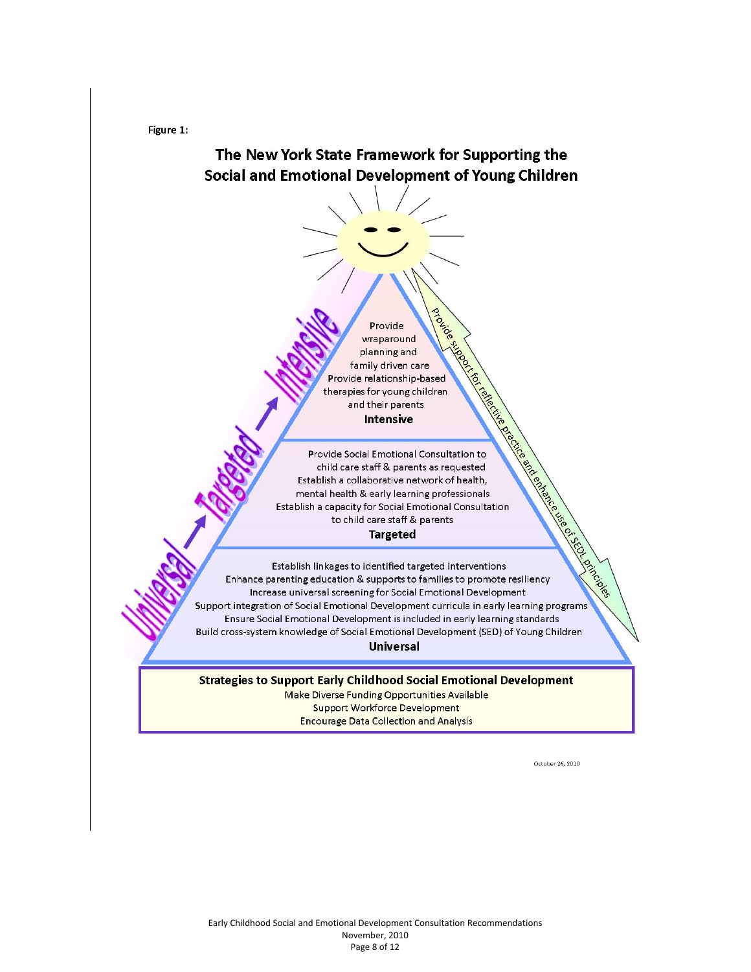Figure 1:



October 26, 2010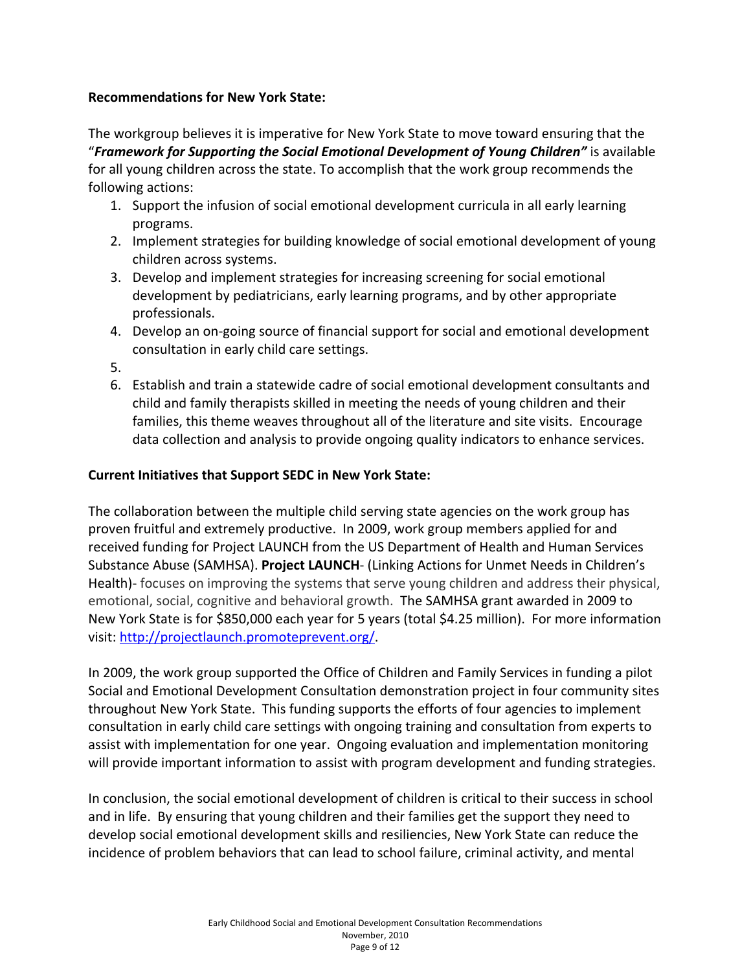### **Recommendations for New York State:**

The workgroup believes it is imperative for New York State to move toward ensuring that the "*Framework for Supporting the Social Emotional Development of Young Children"* is available for all young children across the state. To accomplish that the work group recommends the following actions:

- 1. Support the infusion of social emotional development curricula in all early learning programs.
- 2. Implement strategies for building knowledge of social emotional development of young children across systems.
- 3. Develop and implement strategies for increasing screening for social emotional development by pediatricians, early learning programs, and by other appropriate professionals.
- 4. Develop an on‐going source of financial support for social and emotional development consultation in early child care settings.
- 5.
- 6. Establish and train a statewide cadre of social emotional development consultants and child and family therapists skilled in meeting the needs of young children and their families, this theme weaves throughout all of the literature and site visits. Encourage data collection and analysis to provide ongoing quality indicators to enhance services.

### **Current Initiatives that Support SEDC in New York State:**

The collaboration between the multiple child serving state agencies on the work group has proven fruitful and extremely productive. In 2009, work group members applied for and received funding for Project LAUNCH from the US Department of Health and Human Services Substance Abuse (SAMHSA). **Project LAUNCH**‐ (Linking Actions for Unmet Needs in Children's Health)- focuses on improving the systems that serve young children and address their physical, emotional, social, cognitive and behavioral growth. The SAMHSA grant awarded in 2009 to New York State is for \$850,000 each year for 5 years (total \$4.25 million). For more information visit: http://projectlaunch.promoteprevent.org/.

In 2009, the work group supported the Office of Children and Family Services in funding a pilot Social and Emotional Development Consultation demonstration project in four community sites throughout New York State. This funding supports the efforts of four agencies to implement consultation in early child care settings with ongoing training and consultation from experts to assist with implementation for one year. Ongoing evaluation and implementation monitoring will provide important information to assist with program development and funding strategies.

In conclusion, the social emotional development of children is critical to their success in school and in life. By ensuring that young children and their families get the support they need to develop social emotional development skills and resiliencies, New York State can reduce the incidence of problem behaviors that can lead to school failure, criminal activity, and mental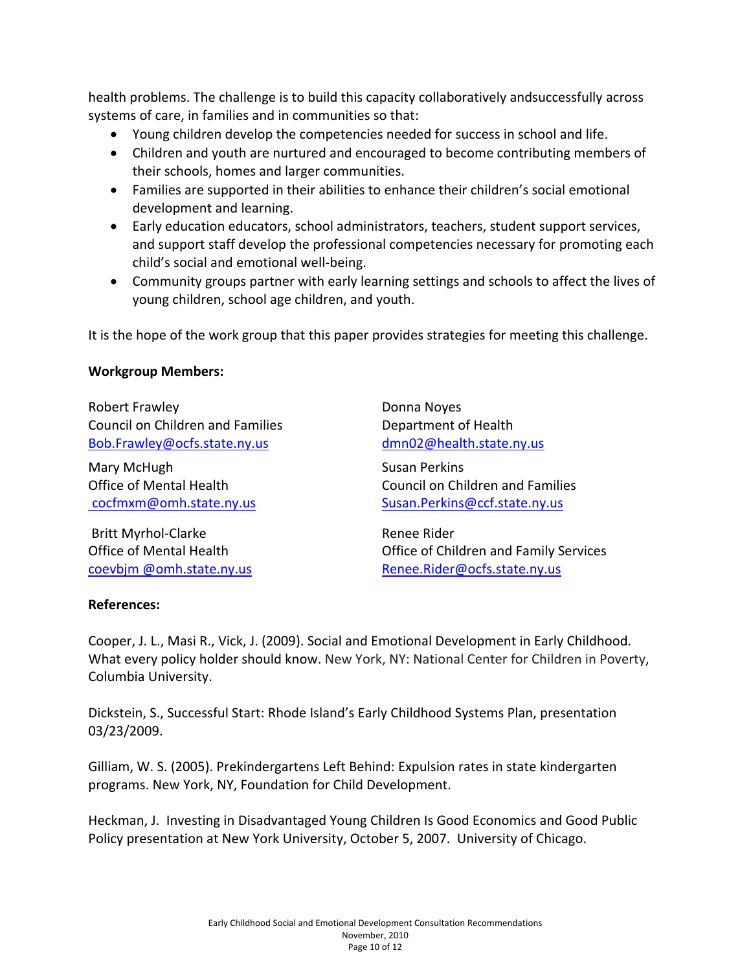health problems. The challenge is to build this capacity collaboratively andsuccessfully across systems of care, in families and in communities so that:

- Young children develop the competencies needed for success in school and life.
- Children and youth are nurtured and encouraged to become contributing members of their schools, homes and larger communities.
- Families are supported in their abilities to enhance their children's social emotional development and learning.
- Early education educators, school administrators, teachers, student support services, and support staff develop the professional competencies necessary for promoting each child's social and emotional well‐being.
- Community groups partner with early learning settings and schools to affect the lives of young children, school age children, and youth.

It is the hope of the work group that this paper provides strategies for meeting this challenge.

### **Workgroup Members:**

Robert Frawley Council on Children and Families Bob.Frawley@ocfs.state.ny.us

Mary McHugh Office of Mental Health cocfmxm@omh.state.ny.us

Britt Myrhol‐Clarke Office of Mental Health coevbjm @omh.state.ny.us

Donna Noyes Department of Health dmn02@health.state.ny.us

Susan Perkins Council on Children and Families Susan.Perkins@ccf.state.ny.us

Renee Rider Office of Children and Family Services Renee.Rider@ocfs.state.ny.us

## **References:**

Cooper, J. L., Masi R., Vick, J. (2009). Social and Emotional Development in Early Childhood. What every policy holder should know. New York, NY: National Center for Children in Poverty, Columbia University.

Dickstein, S., Successful Start: Rhode Island's Early Childhood Systems Plan, presentation 03/23/2009.

Gilliam, W. S. (2005). Prekindergartens Left Behind: Expulsion rates in state kindergarten programs. New York, NY, Foundation for Child Development.

Heckman, J. Investing in Disadvantaged Young Children Is Good Economics and Good Public Policy presentation at New York University, October 5, 2007. University of Chicago.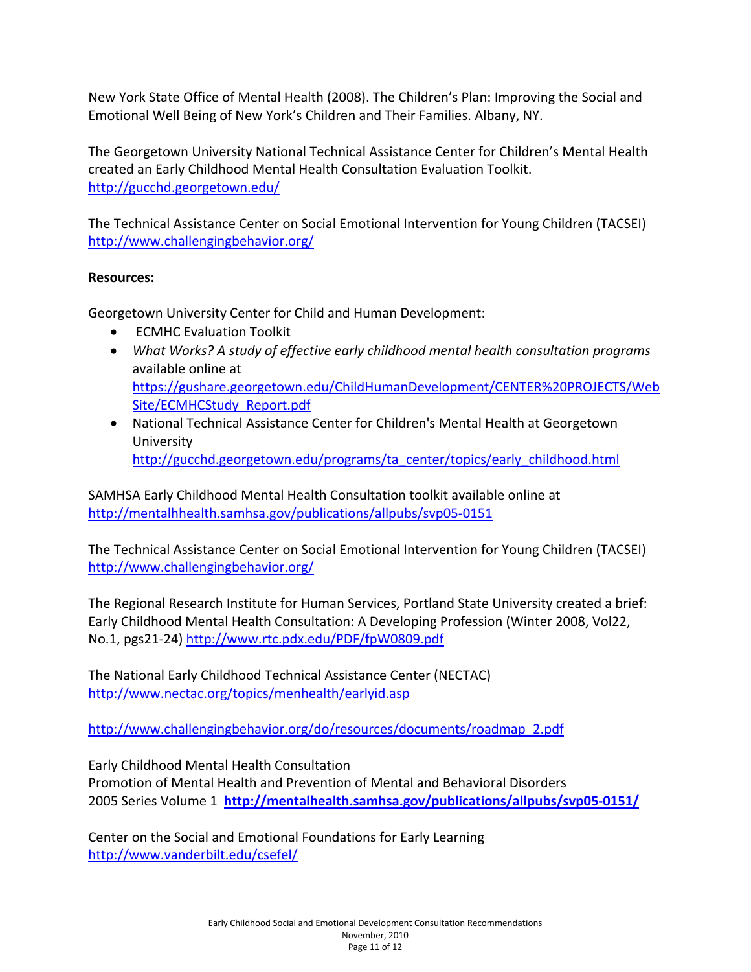New York State Office of Mental Health (2008). The Children's Plan: Improving the Social and Emotional Well Being of New York's Children and Their Families. Albany, NY.

The Georgetown University National Technical Assistance Center for Children's Mental Health created an Early Childhood Mental Health Consultation Evaluation Toolkit. http://gucchd.georgetown.edu/

The Technical Assistance Center on Social Emotional Intervention for Young Children (TACSEI) http://www.challengingbehavior.org/

# **Resources:**

Georgetown University Center for Child and Human Development:

- ECMHC Evaluation Toolkit
- *What Works? A study of effective early childhood mental health consultation programs* available online at https://gushare.georgetown.edu/ChildHumanDevelopment/CENTER%20PROJECTS/Web Site/ECMHCStudy\_Report.pdf
- National Technical Assistance Center for Children's Mental Health at Georgetown University http://gucchd.georgetown.edu/programs/ta\_center/topics/early\_childhood.html

SAMHSA Early Childhood Mental Health Consultation toolkit available online at http://mentalhhealth.samhsa.gov/publications/allpubs/svp05‐0151

The Technical Assistance Center on Social Emotional Intervention for Young Children (TACSEI) http://www.challengingbehavior.org/

The Regional Research Institute for Human Services, Portland State University created a brief: Early Childhood Mental Health Consultation: A Developing Profession (Winter 2008, Vol22, No.1, pgs21‐24) http://www.rtc.pdx.edu/PDF/fpW0809.pdf

The National Early Childhood Technical Assistance Center (NECTAC) http://www.nectac.org/topics/menhealth/earlyid.asp

http://www.challengingbehavior.org/do/resources/documents/roadmap\_2.pdf

Early Childhood Mental Health Consultation

Promotion of Mental Health and Prevention of Mental and Behavioral Disorders 2005 Series Volume 1 **http://mentalhealth.samhsa.gov/publications/allpubs/svp05‐0151/**

Center on the Social and Emotional Foundations for Early Learning http://www.vanderbilt.edu/csefel/